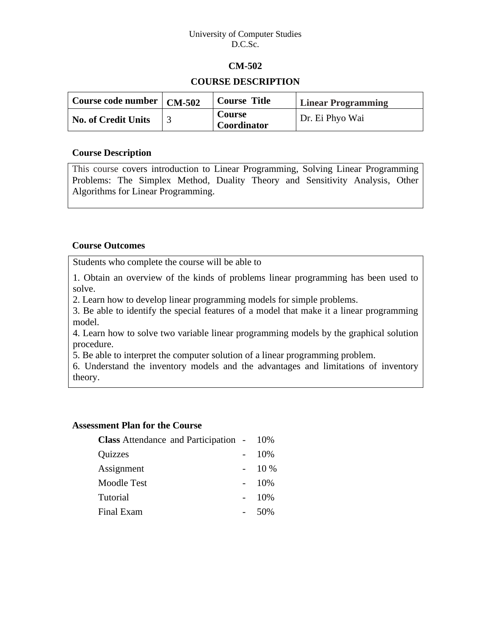#### University of Computer Studies D.C.Sc.

## **CM-502**

## **COURSE DESCRIPTION**

| Course code number   CM-502 | <b>Course Title</b>          | <b>Linear Programming</b> |
|-----------------------------|------------------------------|---------------------------|
| <b>No. of Credit Units</b>  | <b>Course</b><br>Coordinator | Dr. Ei Phyo Wai           |

#### **Course Description**

This course covers introduction to Linear Programming, Solving Linear Programming Problems: The Simplex Method, Duality Theory and Sensitivity Analysis, Other Algorithms for Linear Programming.

## **Course Outcomes**

Students who complete the course will be able to

1. Obtain an overview of the kinds of problems linear programming has been used to solve.

2. Learn how to develop linear programming models for simple problems.

3. Be able to identify the special features of a model that make it a linear programming model.

4. Learn how to solve two variable linear programming models by the graphical solution procedure.

5. Be able to interpret the computer solution of a linear programming problem.

6. Understand the inventory models and the advantages and limitations of inventory theory.

## **Assessment Plan for the Course**

| <b>Class</b> Attendance and Participation - 10% |        |
|-------------------------------------------------|--------|
| Quizzes                                         | 10%    |
| Assignment                                      | $10\%$ |
| <b>Moodle Test</b>                              | 10%    |
| Tutorial                                        | 10%    |
| Final Exam                                      | .50%   |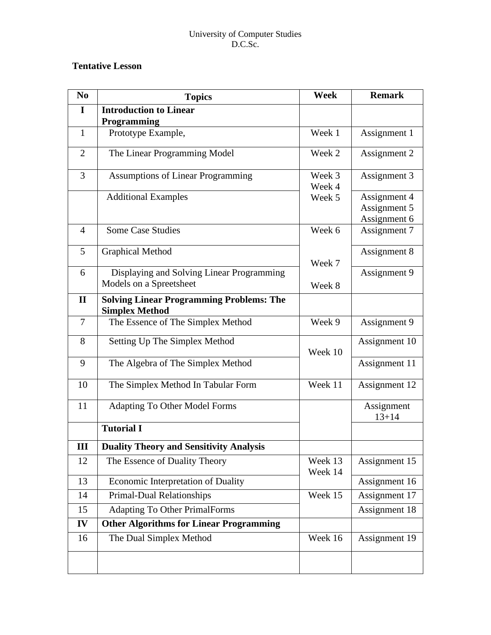#### University of Computer Studies D.C.Sc.

# **Tentative Lesson**

| N <sub>0</sub> | <b>Topics</b>                                                            | <b>Week</b>        | <b>Remark</b>                                |
|----------------|--------------------------------------------------------------------------|--------------------|----------------------------------------------|
| $\mathbf I$    | <b>Introduction to Linear</b><br><b>Programming</b>                      |                    |                                              |
| $\mathbf{1}$   | Prototype Example,                                                       | Week 1             | Assignment 1                                 |
| $\overline{2}$ | The Linear Programming Model                                             | Week 2             | Assignment 2                                 |
| 3              | <b>Assumptions of Linear Programming</b>                                 | Week 3<br>Week 4   | Assignment 3                                 |
|                | <b>Additional Examples</b>                                               | Week 5             | Assignment 4<br>Assignment 5<br>Assignment 6 |
| $\overline{4}$ | <b>Some Case Studies</b><br>Week 6                                       |                    | Assignment 7                                 |
| 5              | <b>Graphical Method</b>                                                  | Week 7             | Assignment 8                                 |
| 6              | Displaying and Solving Linear Programming<br>Models on a Spreetsheet     | Week 8             | Assignment 9                                 |
| $\mathbf{I}$   | <b>Solving Linear Programming Problems: The</b><br><b>Simplex Method</b> |                    |                                              |
| $\overline{7}$ | The Essence of The Simplex Method                                        | Week 9             | Assignment 9                                 |
| 8              | Setting Up The Simplex Method                                            | Week 10            | Assignment 10                                |
| 9              | The Algebra of The Simplex Method                                        |                    | Assignment 11                                |
| 10             | The Simplex Method In Tabular Form                                       | Week 11            | Assignment 12                                |
| 11             | <b>Adapting To Other Model Forms</b>                                     |                    | Assignment<br>$13 + 14$                      |
|                | <b>Tutorial I</b>                                                        |                    |                                              |
| Ш              | <b>Duality Theory and Sensitivity Analysis</b>                           |                    |                                              |
| 12             | The Essence of Duality Theory                                            | Week 13<br>Week 14 | Assignment 15                                |
| 13             | Economic Interpretation of Duality                                       |                    | Assignment 16                                |
| 14             | <b>Primal-Dual Relationships</b>                                         | Week 15            | Assignment 17                                |
| 15             | <b>Adapting To Other PrimalForms</b>                                     |                    | Assignment 18                                |
| IV             | <b>Other Algorithms for Linear Programming</b>                           |                    |                                              |
| 16             | The Dual Simplex Method                                                  | Week 16            | Assignment 19                                |
|                |                                                                          |                    |                                              |